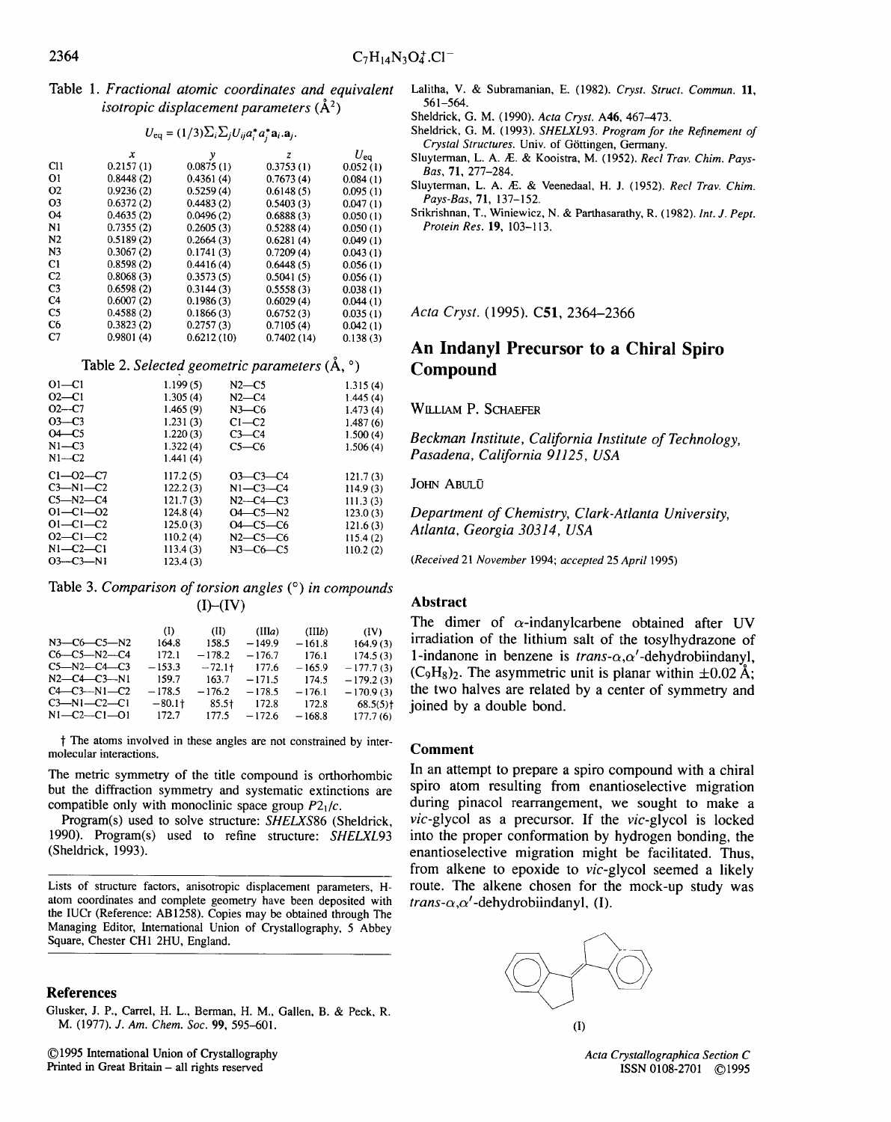Table 1. *Fractional atomic coordinates and equivalent isotropic displacement parameters*  $(\AA^2)$ 

|  | $U_{\text{eq}} = (1/3) \sum_i \sum_j U_{ij} a_i^* a_j^* a_i \cdot a_j.$ |
|--|-------------------------------------------------------------------------|
|--|-------------------------------------------------------------------------|

|                | х         | y          | z          | $U_{\mathsf{ea}}$ |  |  |  |
|----------------|-----------|------------|------------|-------------------|--|--|--|
| C11            | 0.2157(1) | 0.0875(1)  | 0.3753(1)  | 0.052(1)          |  |  |  |
| Οl             | 0.8448(2) | 0.4361(4)  | 0.7673(4)  | 0.084(1)          |  |  |  |
| Ο2             | 0.9236(2) | 0.5259(4)  | 0.6148(5)  | 0.095(1)          |  |  |  |
| O3             | 0.6372(2) | 0.4483(2)  | 0.5403(3)  | 0.047(1)          |  |  |  |
| O4             | 0.4635(2) | 0.0496(2)  | 0.6888(3)  | 0.050(1)          |  |  |  |
| N1             | 0.7355(2) | 0.2605(3)  | 0.5288(4)  | 0.050(1)          |  |  |  |
| N <sub>2</sub> | 0.5189(2) | 0.2664(3)  | 0.6281(4)  | 0.049(1)          |  |  |  |
| N3             | 0.3067(2) | 0.1741(3)  | 0.7209(4)  | 0.043(1)          |  |  |  |
| C1             | 0.8598(2) | 0.4416(4)  | 0.6448(5)  | 0.056(1)          |  |  |  |
| C2             | 0.8068(3) | 0.3573(5)  | 0.5041(5)  | 0.056(1)          |  |  |  |
| C3             | 0.6598(2) | 0.3144(3)  | 0.5558(3)  | 0.038(1)          |  |  |  |
| C4             | 0.6007(2) | 0.1986(3)  | 0.6029(4)  | 0.044(1)          |  |  |  |
| C5             | 0.4588(2) | 0.1866(3)  | 0.6752(3)  | 0.035(1)          |  |  |  |
| C6             | 0.3823(2) | 0.2757(3)  | 0.7105(4)  | 0.042(1)          |  |  |  |
| C7             | 0.9801(4) | 0.6212(10) | 0.7402(14) | 0.138(3)          |  |  |  |
|                |           |            |            |                   |  |  |  |

Table 2. *Selected geometric parameters* ( $\AA$ ,  $\degree$ )

| 1.199(5) | $N2-C5$        | 1.315(4) |
|----------|----------------|----------|
| 1.305(4) | $N2-C4$        | 1.445(4) |
| 1,465(9) | $N3-C6$        | 1.473(4) |
| 1.231(3) | $C1-C2$        | 1.487(6) |
| 1.220(3) | $C3-C4$        | 1.500(4) |
| 1.322(4) | $C5-C6$        | 1.506(4) |
| 1.441(4) |                |          |
| 117.2(5) | $O3-C3-C4$     | 121.7(3) |
| 122.2(3) | $N1-C3-C4$     | 114.9(3) |
| 121.7(3) | $N2-C4-C3$     | 111.3(3) |
| 124.8(4) | $O4 - C5 - N2$ | 123.0(3) |
| 125.0(3) | $O4 - C5 - C6$ | 121.6(3) |
| 110.2(4) | $N2$ –C5–C6    | 115.4(2) |
| 113.4(3) | $N3-C6-C5$     | 110.2(2) |
| 123.4(3) |                |          |
|          |                |          |

Table 3. *Comparison of torsion angles (°) in compounds*   $(I)$ - $(IV)$ 

|                           | (I)      | (II)      | (IIIa)   | (IIIb)   | (IV)        |
|---------------------------|----------|-----------|----------|----------|-------------|
| $N3$ — $C6$ — $C5$ — $N2$ | 164.8    | 158.5     | $-149.9$ | $-161.8$ | 164.9(3)    |
| $C6 - C5 - N2 - C4$       | 172.1    | $-178.2$  | $-176.7$ | 176.1    | 174.5(3)    |
| $C5 - N2 - C4 - C3$       | $-153.3$ | $-72.1$ † | 177.6    | $-165.9$ | $-177.7(3)$ |
| $N2 - C4 - C3 - N1$       | 159.7    | 163.7     | $-171.5$ | 174.5    | $-179.2(3)$ |
| $C4 - C3 - N1 - C2$       | $-178.5$ | $-176.2$  | $-178.5$ | $-176.1$ | $-170.9(3)$ |
| $C3-M1-C2-C1$             | $-80.1+$ | 85.5†     | 172.8    | 172.8    | $68.5(5)$ t |
| $N1 - C2 - C1 - 01$       | 172.7    | 177.5     | $-172.6$ | $-168.8$ | 177.7(6)    |

t The atoms involved in these angles are not constrained by intermolecular interactions.

The metric symmetry of the title compound is orthorhombic but the diffraction symmetry and systematic extinctions are compatible only with monoclinic space group *P21/c.* 

Program(s) used to solve structure: *SHELXS86* (Sheldrick, 1990). Program(s) used to refine structure: *SHELXL93*  (Sheldrick, 1993).

Lists of structure factors, anisotropic displacement parameters, Hatom coordinates and complete geometry have been deposited with the IUCr (Reference: AB1258). Copies may be obtained through The Managing Editor, International Union of Crystallography, 5 Abbey Square, Chester CH1 2HU, England.

## **References**

- Lalitha, V. & Subramanian, E. (1982). *Cryst. Struct. Commun.* 11, 561-564.
- Sheldrick, G. M. (1990). *Acta Cryst.* A46, 467-473.
- Sheldrick, G. M. (1993). *SHELXL93. Program for the Refinement of Crystal Structures.* Univ. of G6ttingen, Germany.
- Sluyterman, L. A./E. & Kooistra, M. (1952). *Recl Trav. Chim. Pays-Bas,* 71, 277-284.
- Sluyterman, L. A. Æ. & Veenedaal, H. J. (1952). *Recl Trav. Chim. Pays-Bas,* 71, 137-152.
- Srikrishnan, T., Winiewicz, N. & Parthasarathy, R. (1982). *Int. J. Pept. Protein Res.* 19, 103-113.

*Acta Cryst.* (1995). C51, 2364-2366

## **An Indanyl Precursor to a Chiral Spiro Compound**

WILLIAM P. SCHAEFER

*Beckman Institute, California Institute of Technology, Pasadena, California 91125, USA* 

JOHN ABULO

*Department of Chemistry, Clark-Atlanta University, Atlanta, Georgia 30314, USA* 

*(Received* 21 *November* 1994; *accepted* 25 *April* 1995)

### **Abstract**

The dimer of  $\alpha$ -indanylcarbene obtained after UV **irradiation of the lithium salt of the tosylhydrazone of 1-indanone in benzene is** *trans-a,a'-dehydrobiindany),*   $(C_9H_8)$ . The asymmetric unit is planar within  $\pm 0.02 \text{ Å}$ : **the two halves are related by a center of symmetry and joined by a double bond.** 

## **Comment**

**In an attempt to prepare a spiro compound with a chiral spiro atom resulting from enantioselective migration**  during pinacol rearrangement, we sought to make **a**  *vic-glycol* as a precursor. If the *vic-glycol* is locked into the proper conformation by hydrogen bonding, the **enantioselective migration might be facilitated. Thus, from alkene to epoxide to** *vic-glycol* **seemed a likely route. The alkene chosen for the mock-up study was**   $trans-\alpha, \alpha'$ -dehydrobiindanyl, **(I)**.



Glusker, J. P., Carrel, H. L., Berman, H. M., Gallen, B. & Peck, R. M. (1977). *J. Am. Chem. Soc.* **99,** 595-601.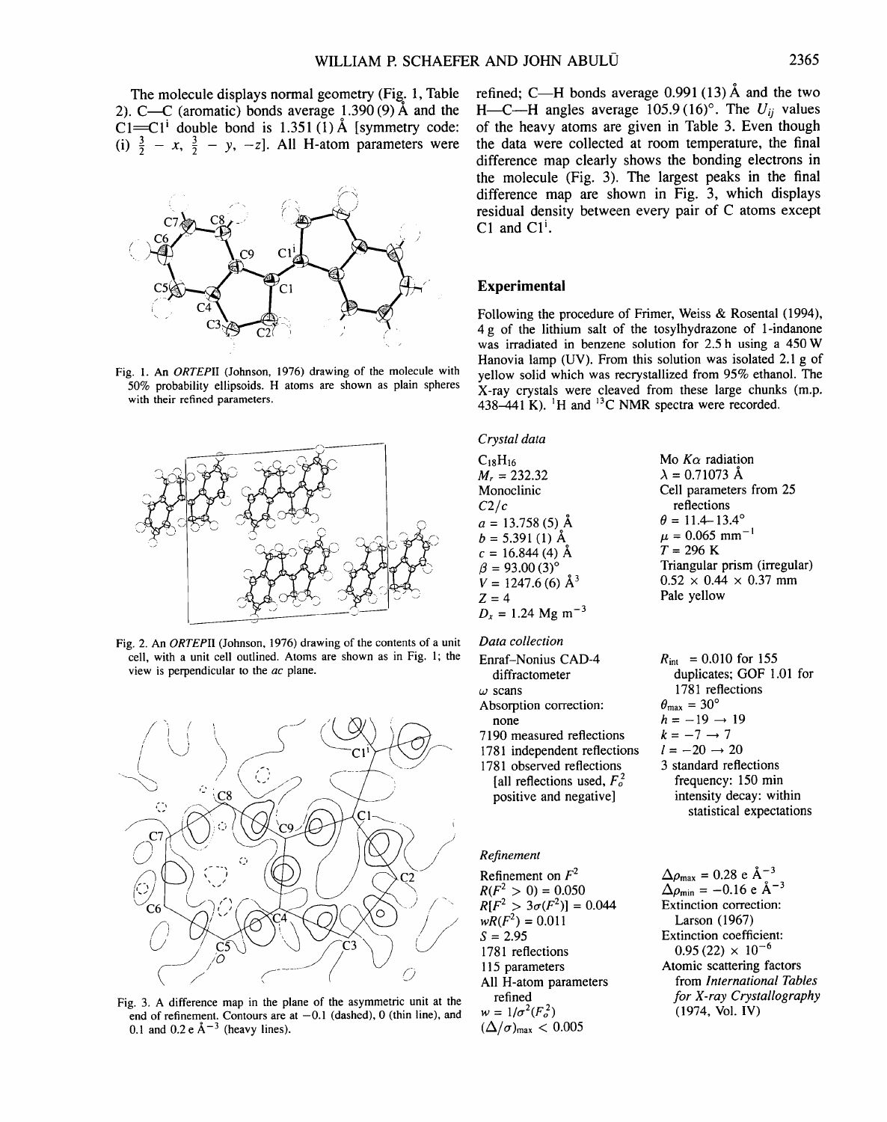The molecule displays normal geometry (Fig. 1, Table 2). C—C (aromatic) bonds average  $1.390(9)$  Å and the  $Cl=Cl<sup>i</sup>$  double bond is 1.351 (1) Å [symmetry code: (i)  $\frac{3}{2} - x$ ,  $\frac{3}{2} - y$ , -z]. All H-atom parameters were



Fig. 1. An *ORTEPII* (Johnson, 1976) drawing of the molecule with 50% probability ellipsoids. H atoms are shown as plain spheres with their refined parameters.







Fig. 3. A difference map in the plane of the asymmetric unit at the end of refinement. Contours are at  $-0.1$  (dashed), 0 (thin line), and 0.1 and 0.2 e  $\AA^{-3}$  (heavy lines).

refined; C—H bonds average  $0.991(13)$  Å and the two H-C--H angles average  $105.9(16)^\circ$ . The  $U_{ii}$  values of the heavy atoms are given in Table 3. Even though the data were collected at room temperature, the final difference map clearly shows the bonding electrons in the molecule (Fig. 3). The largest peaks in the final difference map are shown in Fig. 3, which displays residual density between every pair of C atoms except C1 and  $Cl<sup>i</sup>$ .

## **Experimental**

Following the procedure of Frimer, Weiss & Rosental (1994), 4 g of the lithium salt of the tosylhydrazone of 1-indanone was irradiated in benzene solution for 2.5 h using a 450 W Hanovia lamp (UV). From this solution was isolated 2.1 g of yellow solid which was recrystallized from 95% ethanol. The X-ray crystals were cleaved from these large chunks (m.p. 438-441 K).  $^{1}$ H and  $^{13}$ C NMR spectra were recorded.

#### *Crystal data*

 $C<sub>18</sub>H<sub>16</sub>$  $M_r = 232.32$ Monoclinic *C2/c*   $a = 13.758(5)$  Å  $b = 5.391(1)~\text{\AA}$  $c = 16.844(4)$  Å  $\beta = 93.00(3)^{\circ}$  $V = 1247.6~(6)~\text{\AA}^3$  $Z=4$  $D_x = 1.24$  Mg m<sup>-3</sup>

#### *Data collection*

Enraf-Nonius CAD-4 diffractometer  $\omega$  scans Absorption correction: none 7190 measured reflections 1781 independent reflections 1781 observed reflections [all reflections used,  $F_o^2$ positive and negative]

#### *Refinement*

Refinement on  $F^2$  $R(F^2 > 0) = 0.050$  $R[F^2 > 3\sigma(F^2)] = 0.044$  $wR(F^2) = 0.011$  $S = 2.95$ 1781 reflections 115 parameters All H-atom parameters refined  $w = 1/\sigma^2 (F_o^2)$  $(\Delta/\sigma)_{\text{max}} < 0.005$ 

Mo  $K\alpha$  radiation  $\lambda = 0.71073~\text{\AA}$ Cell parameters from 25 reflections  $\theta = 11.4 - 13.4^{\circ}$  $\mu = 0.065$  mm<sup>-1</sup>  $T = 296 K$ Triangular prism (irregular)  $0.52 \times 0.44 \times 0.37$  mm Pale yellow

 $R_{\text{int}} = 0.010$  for 155 duplicates; GOF 1.01 for 1781 reflections  $\theta_{\text{max}} = 30^{\circ}$  $h = -19 \rightarrow 19$  $k = -7 \rightarrow 7$  $l = -20 \rightarrow 20$ 3 standard reflections frequency: 150 min intensity decay: within statistical expectations

 $\Delta \rho_{\text{max}} = 0.28 \text{ e A}^{-3}$  $\Delta \rho_{\text{min}} = -0.16 \text{ e } \text{\AA}^{-3}$ Extinction correction: Larson (1967) Extinction coefficient:  $0.95(22) \times 10^{-6}$ Atomic scattering factors from *International Tables for X-ray Crystallography*  (1974, Vol. IV)